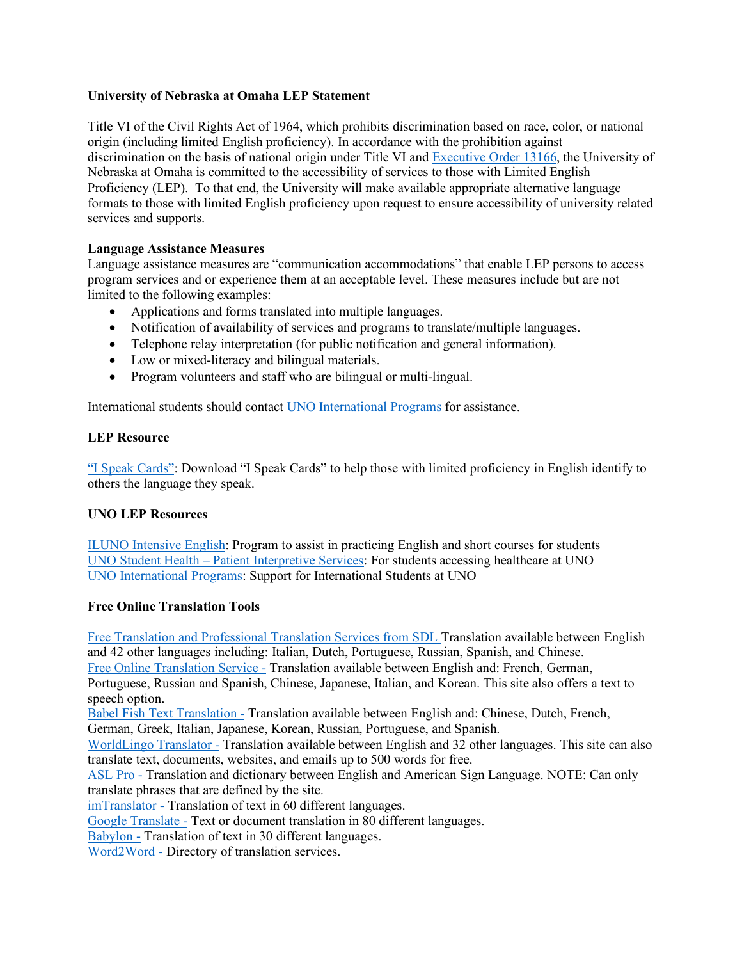# **University of Nebraska at Omaha LEP Statement**

Title VI of the Civil Rights Act of 1964, which prohibits discrimination based on race, color, or national origin (including limited English proficiency). In accordance with the prohibition against discrimination on the basis of national origin under Title VI and Executive Order 13166, the University of Nebraska at Omaha is committed to the accessibility of services to those with Limited English Proficiency (LEP). To that end, the University will make available appropriate alternative language formats to those with limited English proficiency upon request to ensure accessibility of university related services and supports.

# **Language Assistance Measures**

Language assistance measures are "communication accommodations" that enable LEP persons to access program services and or experience them at an acceptable level. These measures include but are not limited to the following examples:

- Applications and forms translated into multiple languages.
- Notification of availability of services and programs to translate/multiple languages.
- Telephone relay interpretation (for public notification and general information).
- Low or mixed-literacy and bilingual materials.
- Program volunteers and staff who are bilingual or multi-lingual.

International students should contact UNO International Programs for assistance.

### **LEP Resource**

"I Speak Cards": Download "I Speak Cards" to help those with limited proficiency in English identify to others the language they speak.

### **UNO LEP Resources**

ILUNO Intensive English: Program to assist in practicing English and short courses for students UNO Student Health – Patient Interpretive Services: For students accessing healthcare at UNO UNO International Programs: Support for International Students at UNO

### **Free Online Translation Tools**

Free Translation and Professional Translation Services from SDL Translation available between English and 42 other languages including: Italian, Dutch, Portuguese, Russian, Spanish, and Chinese.

Free Online Translation Service - Translation available between English and: French, German,

Portuguese, Russian and Spanish, Chinese, Japanese, Italian, and Korean. This site also offers a text to speech option.

Babel Fish Text Translation - Translation available between English and: Chinese, Dutch, French,

German, Greek, Italian, Japanese, Korean, Russian, Portuguese, and Spanish.

WorldLingo Translator - Translation available between English and 32 other languages. This site can also translate text, documents, websites, and emails up to 500 words for free.

ASL Pro - Translation and dictionary between English and American Sign Language. NOTE: Can only translate phrases that are defined by the site.

imTranslator - Translation of text in 60 different languages.

Google Translate - Text or document translation in 80 different languages.

Babylon - Translation of text in 30 different languages.

Word2Word - Directory of translation services.